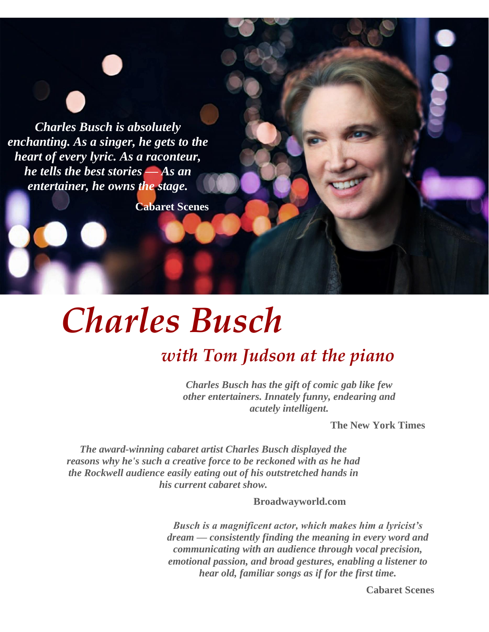*Charles Busch is absolutely enchanting. As a singer, he gets to the heart of every lyric. As a raconteur, he tells the best stories — As an entertainer, he owns the stage.*

**Cabaret Scenes**

# *Charles Busch*

## *with Tom Judson at the piano*

*Charles Busch has the gift of comic gab like few other entertainers. Innately funny, endearing and acutely intelligent.*

**The New York Times**

*The award-winning cabaret artist Charles Busch displayed the reasons why he's such a creative force to be reckoned with as he had the Rockwell audience easily eating out of his outstretched hands in his current cabaret show.*

**Broadwayworld.com**

*Busch is a magnificent actor, which makes him a lyricist's dream — consistently finding the meaning in every word and communicating with an audience through vocal precision, emotional passion, and broad gestures, enabling a listener to hear old, familiar songs as if for the first time.*

**Cabaret Scenes**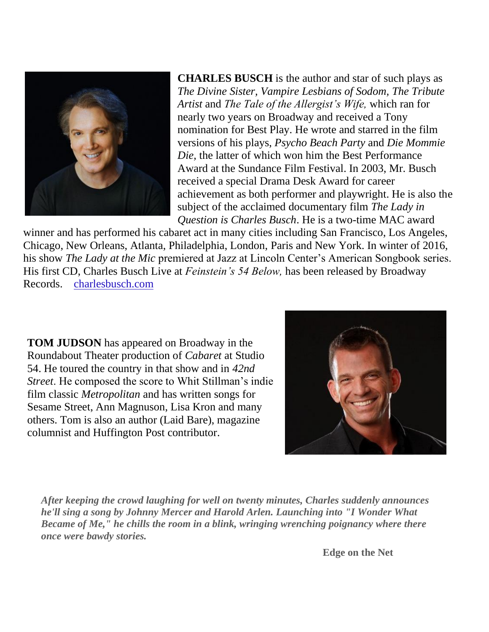

**CHARLES BUSCH** is the author and star of such plays as *The Divine Sister, Vampire Lesbians of Sodom, The Tribute Artist* and *The Tale of the Allergist's Wife,* which ran for nearly two years on Broadway and received a Tony nomination for Best Play. He wrote and starred in the film versions of his plays, *Psycho Beach Party* and *Die Mommie Die,* the latter of which won him the Best Performance Award at the Sundance Film Festival. In 2003, Mr. Busch received a special Drama Desk Award for career achievement as both performer and playwright. He is also the subject of the acclaimed documentary film *The Lady in Question is Charles Busch*. He is a two-time MAC award

winner and has performed his cabaret act in many cities including San Francisco, Los Angeles, Chicago, New Orleans, Atlanta, Philadelphia, London, Paris and New York. In winter of 2016, his show *The Lady at the Mic* premiered at Jazz at Lincoln Center's American Songbook series. His first CD, Charles Busch Live at *Feinstein's 54 Below,* has been released by Broadway Records. [charlesbusch.com](http://www.charlesbusch.com/)

**TOM JUDSON** has appeared on Broadway in the Roundabout Theater production of *Cabaret* at Studio 54. He toured the country in that show and in *42nd Street*. He composed the score to Whit Stillman's indie film classic *Metropolitan* and has written songs for Sesame Street, Ann Magnuson, Lisa Kron and many others. Tom is also an author (Laid Bare), magazine columnist and Huffington Post contributor.



*After keeping the crowd laughing for well on twenty minutes, Charles suddenly announces he'll sing a song by Johnny Mercer and Harold Arlen. Launching into "I Wonder What Became of Me," he chills the room in a blink, wringing wrenching poignancy where there once were bawdy stories.*

**Edge on the Net**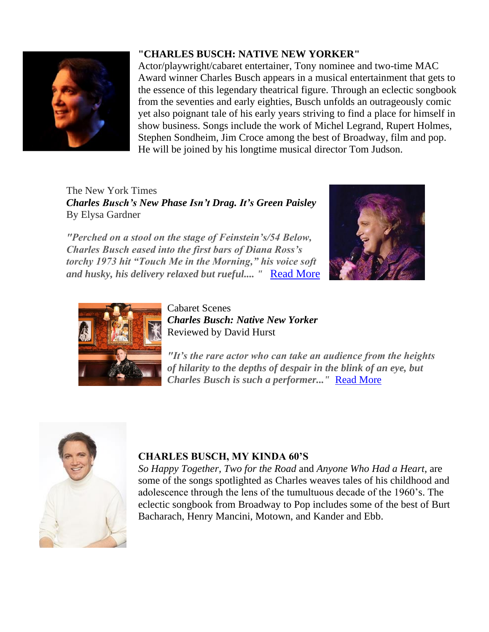

## **"CHARLES BUSCH: NATIVE NEW YORKER"**

Actor/playwright/cabaret entertainer, Tony nominee and two-time MAC Award winner Charles Busch appears in a musical entertainment that gets to the essence of this legendary theatrical figure. Through an eclectic songbook from the seventies and early eighties, Busch unfolds an outrageously comic yet also poignant tale of his early years striving to find a place for himself in show business. Songs include the work of Michel Legrand, Rupert Holmes, Stephen Sondheim, Jim Croce among the best of Broadway, film and pop. He will be joined by his longtime musical director Tom Judson.

The New York Times *Charles Busch's New Phase Isn't Drag. It's Green Paisley* By Elysa Gardner

*"Perched on a stool on the stage of Feinstein's/54 Below, Charles Busch eased into the first bars of Diana Ross's torchy 1973 hit "Touch Me in the Morning," his voice soft and husky, his delivery relaxed but rueful.... "* [Read More](https://www.nytimes.com/2019/02/05/arts/music/charles-busch-native-new-yorker-cabaret.html)





Cabaret Scenes *Charles Busch: Native New Yorker* Reviewed by David Hurst

*"It's the rare actor who can take an audience from the heights of hilarity to the depths of despair in the blink of an eye, but Charles Busch is such a performer..."* Read [More](http://cabaretscenes.org/2019/02/19/charles-busch-native-new-yorker/)



## **CHARLES BUSCH, MY KINDA 60'S**

*So Happy Together, Two for the Road* and *Anyone Who Had a Heart*, are some of the songs spotlighted as Charles weaves tales of his childhood and adolescence through the lens of the tumultuous decade of the 1960's. The eclectic songbook from Broadway to Pop includes some of the best of Burt Bacharach, Henry Mancini, Motown, and Kander and Ebb.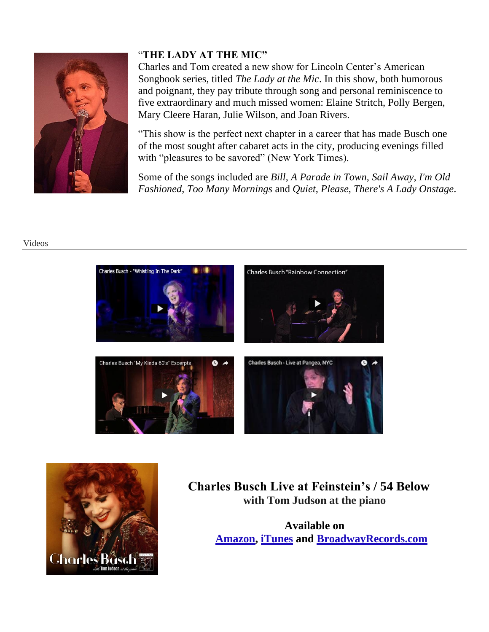

## "**THE LADY AT THE MIC"**

Charles and Tom created a new show for Lincoln Center's American Songbook series, titled *The Lady at the Mic*. In this show, both humorous and poignant, they pay tribute through song and personal reminiscence to five extraordinary and much missed women: Elaine Stritch, Polly Bergen, Mary Cleere Haran, Julie Wilson, and Joan Rivers.

"This show is the perfect next chapter in a career that has made Busch one of the most sought after cabaret acts in the city, producing evenings filled with "pleasures to be savored" (New York Times).

Some of the songs included are *Bill*, *A Parade in Town*, *Sail Away*, *I'm Old Fashioned*, *Too Many Mornings* and *Quiet, Please*, *There's A Lady Onstage*.

#### Videos





## **Charles Busch Live at Feinstein's / 54 Below with Tom Judson at the piano**

**Available on [Amazon,](https://www.amazon.com/Charles-Busch-Live-Feinsteins-Below/dp/B01MXCT4W5/ref%3Dsr_1_1?ie=UTF8&qid=1480988834&sr=8-1&keywords=charles%2Bbusch%2Blive%2Bat%2B54%2Bbelow) [iTunes](https://itunes.apple.com/us/album/live-at-feinsteins-54-below/id1181827842?app=itunes&ign-mpt=uo%3D4) and [BroadwayRecords.com](http://www.broadwayrecords.com/cds/charles-busch-live-at-feinsteins54-below?category=54%2BBelow)**